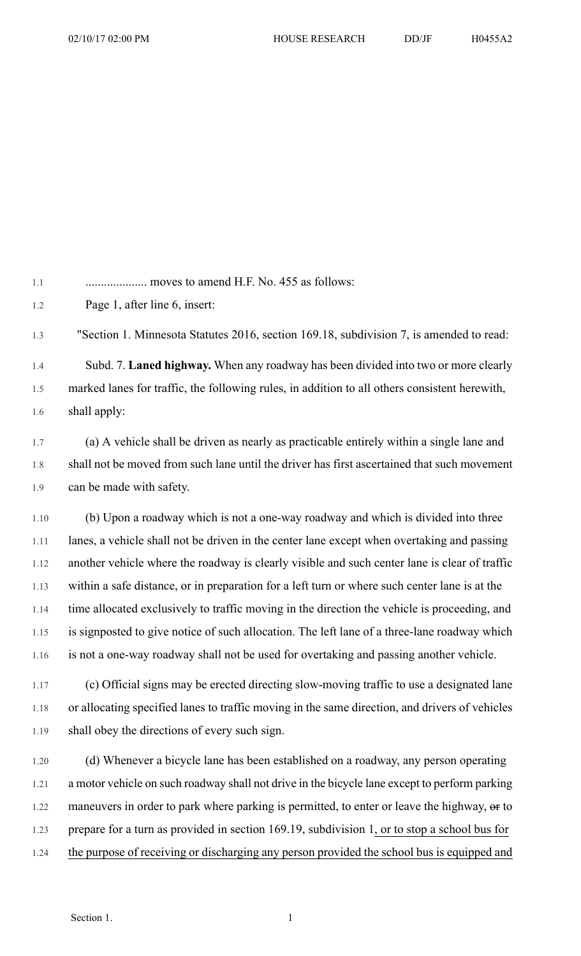1.1 .................... moves to amend H.F. No. 455 as follows:

1.2 Page 1, after line 6, insert:

1.3 "Section 1. Minnesota Statutes 2016, section 169.18, subdivision 7, is amended to read:

1.4 Subd. 7. **Laned highway.** When any roadway has been divided into two or more clearly 1.5 marked lanes for traffic, the following rules, in addition to all others consistent herewith, 1.6 shall apply:

1.7 (a) A vehicle shall be driven as nearly as practicable entirely within a single lane and 1.8 shall not be moved from such lane until the driver has first ascertained that such movement 1.9 can be made with safety.

1.10 (b) Upon a roadway which is not a one-way roadway and which is divided into three 1.11 lanes, a vehicle shall not be driven in the center lane except when overtaking and passing 1.12 another vehicle where the roadway is clearly visible and such center lane is clear of traffic 1.13 within a safe distance, or in preparation for a left turn or where such center lane is at the 1.14 time allocated exclusively to traffic moving in the direction the vehicle is proceeding, and 1.15 is signposted to give notice of such allocation. The left lane of a three-lane roadway which 1.16 is not a one-way roadway shall not be used for overtaking and passing another vehicle.

1.17 (c) Official signs may be erected directing slow-moving traffic to use a designated lane 1.18 or allocating specified lanes to traffic moving in the same direction, and drivers of vehicles 1.19 shall obey the directions of every such sign.

1.20 (d) Whenever a bicycle lane has been established on a roadway, any person operating 1.21 a motor vehicle on such roadway shall not drive in the bicycle lane except to perform parking 1.22 maneuvers in order to park where parking is permitted, to enter or leave the highway, or to 1.23 prepare for a turn as provided in section 169.19, subdivision 1, or to stop a school bus for 1.24 the purpose of receiving or discharging any person provided the school bus is equipped and